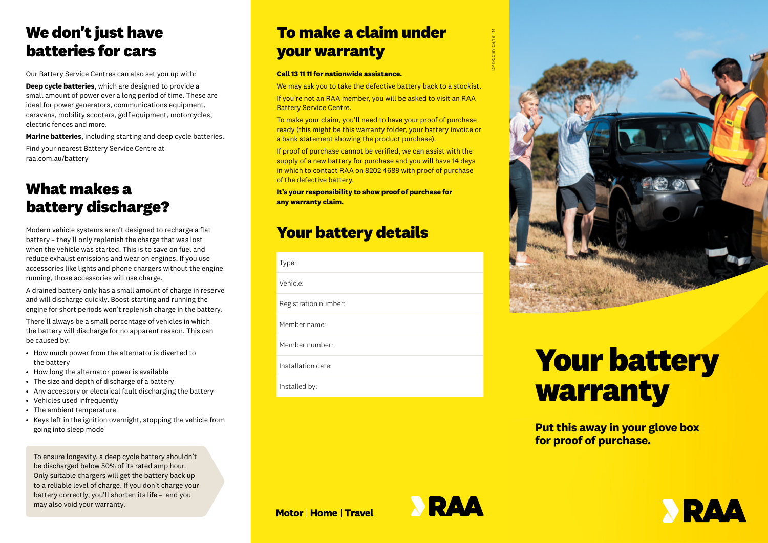## **We don't just have batteries for cars**

Our Battery Service Centres can also set you up with:

**Deep cycle batteries**, which are designed to provide a small amount of power over a long period of time. These are ideal for power generators, communications equipment, caravans, mobility scooters, golf equipment, motorcycles, electric fences and more.

**Marine batteries**, including starting and deep cycle batteries. Find your nearest Battery Service Centre at raa.com.au/battery

### **What makes a battery discharge?**

Modern vehicle systems aren't designed to recharge a flat battery – they'll only replenish the charge that was lost when the vehicle was started. This is to save on fuel and reduce exhaust emissions and wear on engines. If you use accessories like lights and phone chargers without the engine running, those accessories will use charge.

A drained battery only has a small amount of charge in reserve and will discharge quickly. Boost starting and running the engine for short periods won't replenish charge in the battery.

There'll always be a small percentage of vehicles in which the battery will discharge for no apparent reason. This can be caused by:

- How much power from the alternator is diverted to the battery
- How long the alternator power is available
- The size and depth of discharge of a battery
- Any accessory or electrical fault discharging the battery
- Vehicles used infrequently
- The ambient temperature
- Keys left in the ignition overnight, stopping the vehicle from going into sleep mode

To ensure longevity, a deep cycle battery shouldn't be discharged below 50% of its rated amp hour. Only suitable chargers will get the battery back up to a reliable level of charge. If you don't charge your battery correctly, you'll shorten its life – and you may also void your warranty.

# **To make a claim under your warranty**

#### **Call 13 11 11 for nationwide assistance.**

We may ask you to take the defective battery back to a stockist. If you're not an RAA member, you will be asked to visit an RAA Battery Service Centre.

To make your claim, you'll need to have your proof of purchase ready (this might be this warranty folder, your battery invoice or a bank statement showing the product purchase).

If proof of purchase cannot be verified, we can assist with the supply of a new battery for purchase and you will have 14 days in which to contact RAA on 8202 4689 with proof of purchase of the defective battery.

**It's your responsibility to show proof of purchase for any warranty claim.** 

### **Your battery details**

| Type:                |
|----------------------|
| Vehicle:             |
| Registration number: |
| Member name:         |
| Member number:       |
| Installation date:   |
| Installed by:        |
|                      |



# **Your battery warranty**

**Put this away in your glove box for proof of purchase.**

**Motor | Home | Travel**